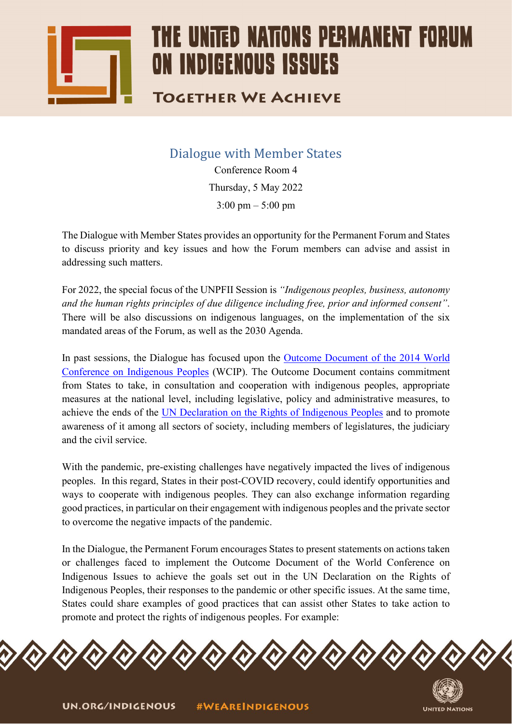

## THE UNITED NATIONS PERMANENT FOR ON INDIGENOUS ISSUES

## **TOGETHER WE ACHIEVE**

Dialogue with Member States

Conference Room 4 Thursday, 5 May 2022  $3:00 \text{ pm} - 5:00 \text{ pm}$ 

The Dialogue with Member States provides an opportunity for the Permanent Forum and States to discuss priority and key issues and how the Forum members can advise and assist in addressing such matters.

For 2022, the special focus of the UNPFII Session is *"Indigenous peoples, business, autonomy and the human rights principles of due diligence including free, prior and informed consent"*. There will be also discussions on indigenous languages, on the implementation of the six mandated areas of the Forum, as well as the 2030 Agenda.

In past sessions, the Dialogue has focused upon the [Outcome Document of](https://www.un.org/en/ga/search/view_doc.asp?symbol=A/RES/69/2) the 2014 World Conference on [Indigenous Peoples](https://www.un.org/en/ga/search/view_doc.asp?symbol=A/RES/69/2) (WCIP). The Outcome Document contains commitment from States to take, in consultation and cooperation with indigenous peoples, appropriate measures at the national level, including legislative, policy and administrative measures, to achieve the ends of the [UN Declaration on the Rights of Indigenous Peoples](https://undocs.org/Home/Mobile?FinalSymbol=A%2FRES%2F61%2F295&Language=E&DeviceType=Desktop&LangRequested=False) and to promote awareness of it among all sectors of society, including members of legislatures, the judiciary and the civil service.

With the pandemic, pre-existing challenges have negatively impacted the lives of indigenous peoples. In this regard, States in their post-COVID recovery, could identify opportunities and ways to cooperate with indigenous peoples. They can also exchange information regarding good practices, in particular on their engagement with indigenous peoples and the private sector to overcome the negative impacts of the pandemic.

In the Dialogue, the Permanent Forum encourages States to present statements on actions taken or challenges faced to implement the Outcome Document of the World Conference on Indigenous Issues to achieve the goals set out in the UN Declaration on the Rights of Indigenous Peoples, their responses to the pandemic or other specific issues. At the same time, States could share examples of good practices that can assist other States to take action to promote and protect the rights of indigenous peoples. For example: